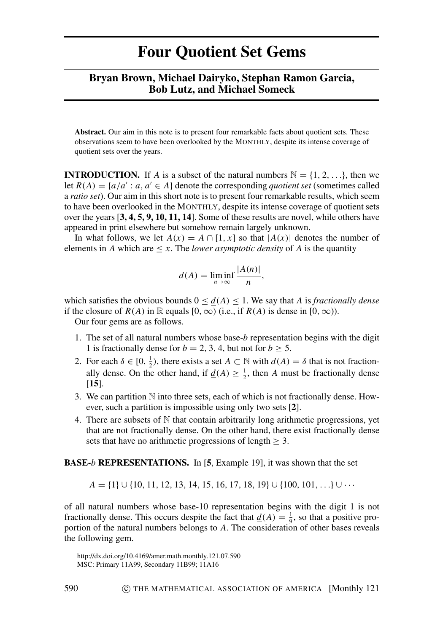## **Four Quotient Set Gems**

## **Bryan Brown, Michael Dairyko, Stephan Ramon Garcia, Bob Lutz, and Michael Someck**

**Abstract.** Our aim in this note is to present four remarkable facts about quotient sets. These observations seem to have been overlooked by the MONTHLY, despite its intense coverage of quotient sets over the years.

**INTRODUCTION.** If *A* is a subset of the natural numbers  $\mathbb{N} = \{1, 2, \ldots\}$ , then we let  $R(A) = \{a/a' : a, a' \in A\}$  denote the corresponding *quotient set* (sometimes called a *ratio set*). Our aim in this short note is to present four remarkable results, which seem to have been overlooked in the MONTHLY, despite its intense coverage of quotient sets over the years [**[3,](#page-8-0) [4,](#page-8-1) [5,](#page-8-2) [9,](#page-8-3) [10,](#page-8-4) [11,](#page-8-5) [14](#page-8-6)**]. Some of these results are novel, while others have appeared in print elsewhere but somehow remain largely unknown.

In what follows, we let  $A(x) = A \cap [1, x]$  so that  $|A(x)|$  denotes the number of elements in *A* which are  $\leq x$ . The *lower asymptotic density* of *A* is the quantity

$$
\underline{d}(A) = \liminf_{n \to \infty} \frac{|A(n)|}{n},
$$

which satisfies the obvious bounds  $0 \leq d(A) \leq 1$ . We say that *A* is *fractionally dense* if the closure of  $R(A)$  in R equals [0,  $\infty$ ) (i.e., if  $R(A)$  is dense in [0,  $\infty$ )).

Our four gems are as follows.

- 1. The set of all natural numbers whose base-*b* representation begins with the digit 1 is fractionally dense for  $b = 2, 3, 4$ , but not for  $b \ge 5$ .
- 2. For each  $\delta \in [0, \frac{1}{2})$ , there exists a set  $A \subset \mathbb{N}$  with  $\underline{d}(A) = \delta$  that is not fractionally dense. On the other hand, if  $\underline{d}(A) \geq \frac{1}{2}$ , then *A* must be fractionally dense [**[15](#page-8-7)**].
- 3. We can partition N into three sets, each of which is not fractionally dense. However, such a partition is impossible using only two sets [**[2](#page-8-8)**].
- 4. There are subsets of  $N$  that contain arbitrarily long arithmetic progressions, yet that are not fractionally dense. On the other hand, there exist fractionally dense sets that have no arithmetic progressions of length  $\geq 3$ .

**BASE-***b* **REPRESENTATIONS.** In [**[5](#page-8-2)**, Example 19], it was shown that the set

 $A = \{1\} \cup \{10, 11, 12, 13, 14, 15, 16, 17, 18, 19\} \cup \{100, 101, ...\} \cup \cdots$ 

of all natural numbers whose base-10 representation begins with the digit 1 is not fractionally dense. This occurs despite the fact that  $\underline{d}(A) = \frac{1}{9}$ , so that a positive proportion of the natural numbers belongs to *A*. The consideration of other bases reveals the following gem.

http://dx.doi.org/10.4169/amer.math.monthly.121.07.590

MSC: Primary 11A99, Secondary 11B99; 11A16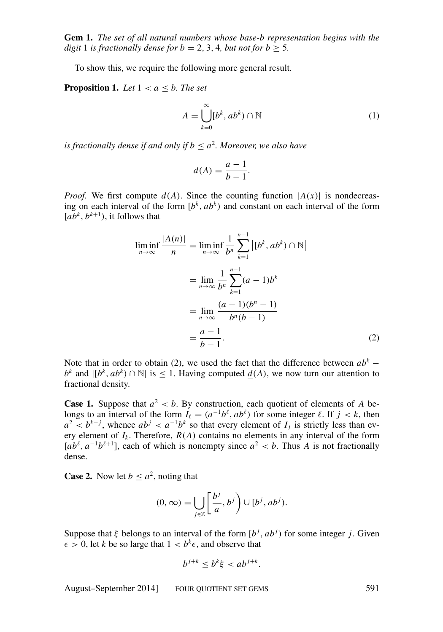<span id="page-1-1"></span>**Gem 1.** *The set of all natural numbers whose base-b representation begins with the digit* 1 *is fractionally dense for*  $b = 2, 3, 4$ *, but not for*  $b > 5$ *.* 

To show this, we require the following more general result.

<span id="page-1-3"></span>**Proposition 1.** *Let*  $1 < a < b$ *. The set* 

<span id="page-1-2"></span>
$$
A = \bigcup_{k=0}^{\infty} [b^k, ab^k) \cap \mathbb{N}
$$
 (1)

*is fractionally dense if and only if*  $b \leq a^2$ *. Moreover, we also have* 

$$
\underline{d}(A) = \frac{a-1}{b-1}.
$$

*Proof.* We first compute  $d(A)$ . Since the counting function  $|A(x)|$  is nondecreasing on each interval of the form  $[b^k, ab^k)$  and constant on each interval of the form  $[a\overline{b}^k, b^{k+1}),$  it follows that

<span id="page-1-0"></span>
$$
\liminf_{n \to \infty} \frac{|A(n)|}{n} = \liminf_{n \to \infty} \frac{1}{b^n} \sum_{k=1}^{n-1} |[b^k, ab^k) \cap \mathbb{N}|
$$

$$
= \lim_{n \to \infty} \frac{1}{b^n} \sum_{k=1}^{n-1} (a-1)b^k
$$

$$
= \lim_{n \to \infty} \frac{(a-1)(b^n - 1)}{b^n(b-1)}
$$

$$
= \frac{a-1}{b-1}.
$$
(2)

Note that in order to obtain [\(2\)](#page-1-0), we used the fact that the difference between  $ab^k$  − *b*<sup>*k*</sup> and  $|[b^k, ab^k) ∩ ℕ|$  is ≤ 1. Having computed  $\underline{d}(A)$ , we now turn our attention to fractional density.

**Case 1.** Suppose that  $a^2 < b$ . By construction, each quotient of elements of *A* belongs to an interval of the form  $I_\ell = (a^{-1}b^\ell, ab^\ell)$  for some integer  $\ell$ . If  $j < k$ , then  $a^2 < b^{k-j}$ , whence  $ab^j < a^{-1}b^k$  so that every element of  $I_j$  is strictly less than every element of  $I_k$ . Therefore,  $R(A)$  contains no elements in any interval of the form  $[a\overline{b}^{\ell}, a^{-1}\overline{b}^{\ell+1}]$ , each of which is nonempty since  $a^2 < b$ . Thus *A* is not fractionally dense.

**Case 2.** Now let  $b \leq a^2$ , noting that

$$
(0, \infty) = \bigcup_{j \in \mathbb{Z}} \left[ \frac{b^j}{a}, b^j \right) \cup [b^j, ab^j).
$$

Suppose that  $\xi$  belongs to an interval of the form  $[b^j, ab^j)$  for some integer *j*. Given  $\epsilon > 0$ , let *k* be so large that  $1 < b^k \epsilon$ , and observe that

$$
b^{j+k} \le b^k \xi < ab^{j+k}.
$$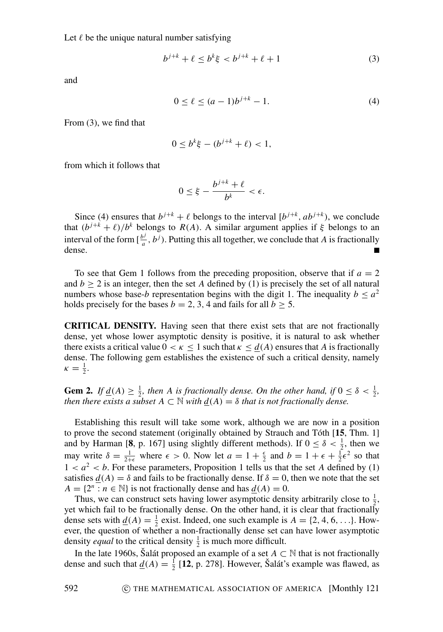<span id="page-2-0"></span>
$$
b^{j+k} + \ell \le b^k \xi < b^{j+k} + \ell + 1 \tag{3}
$$

and

<span id="page-2-1"></span>
$$
0 \le \ell \le (a-1)b^{j+k} - 1. \tag{4}
$$

From [\(3\)](#page-2-0), we find that

$$
0 \le b^k \xi - (b^{j+k} + \ell) < 1,
$$

from which it follows that

$$
0\leq \xi-\frac{b^{j+k}+\ell}{b^k}<\epsilon.
$$

Since [\(4\)](#page-2-1) ensures that  $b^{j+k} + \ell$  belongs to the interval  $[b^{j+k}, ab^{j+k})$ , we conclude that  $(b^{j+k} + \ell)/b^k$  belongs to  $R(A)$ . A similar argument applies if  $\xi$  belongs to an interval of the form  $\left[\frac{b^j}{a}\right]$  $\frac{b^j}{a}$ ,  $b^j$ ). Putting this all together, we conclude that *A* is fractionally dense.

To see that Gem [1](#page-1-1) follows from the preceding proposition, observe that if  $a = 2$ and  $b > 2$  is an integer, then the set *A* defined by [\(1\)](#page-1-2) is precisely the set of all natural numbers whose base-*b* representation begins with the digit 1. The inequality  $b \le a^2$ holds precisely for the bases  $b = 2, 3, 4$  and fails for all  $b > 5$ .

**CRITICAL DENSITY.** Having seen that there exist sets that are not fractionally dense, yet whose lower asymptotic density is positive, it is natural to ask whether there exists a critical value  $0 < \kappa \le 1$  such that  $\kappa \le d(A)$  ensures that A is fractionally dense. The following gem establishes the existence of such a critical density, namely  $\kappa = \frac{1}{2}.$ 

**Gem 2.** *If*  $\underline{d}(A) \geq \frac{1}{2}$ , then A is fractionally dense. On the other hand, if  $0 \leq \delta < \frac{1}{2}$ , *then there exists a subset*  $A \subset \mathbb{N}$  *with*  $d(A) = \delta$  *that is not fractionally dense.* 

Establishing this result will take some work, although we are now in a position to prove the second statement (originally obtained by Strauch and Tóth [[15](#page-8-7), Thm. 1] and by Harman [[8](#page-8-9), p. 167] using slightly different methods). If  $0 \le \delta < \frac{1}{2}$ , then we may write  $\delta = \frac{1}{2+\epsilon}$  where  $\epsilon > 0$ . Now let  $a = 1 + \frac{\epsilon}{2}$  and  $b = 1 + \epsilon + \frac{1}{2}\epsilon^2$  so that  $1 < a<sup>2</sup> < b$  $1 < a<sup>2</sup> < b$ . For these parameters, Proposition 1 tells us that the set *A* defined by [\(1\)](#page-1-2) satisfies  $d(A) = \delta$  and fails to be fractionally dense. If  $\delta = 0$ , then we note that the set  $A = \{2^n : n \in \mathbb{N}\}\$ is not fractionally dense and has  $\underline{d}(A) = 0$ .

Thus, we can construct sets having lower asymptotic density arbitrarily close to  $\frac{1}{2}$ , yet which fail to be fractionally dense. On the other hand, it is clear that fractionally dense sets with  $\underline{d}(A) = \frac{1}{2}$  exist. Indeed, one such example is  $A = \{2, 4, 6, ...\}$ . However, the question of whether a non-fractionally dense set can have lower asymptotic density *equal* to the critical density  $\frac{1}{2}$  is much more difficult.

In the late 1960s, Šalát proposed an example of a set  $A \subset \mathbb{N}$  that is not fractionally dense and such that  $\underline{d}(A) = \frac{1}{2}$  [[12](#page-8-10), p. 278]. However, Šalát's example was flawed, as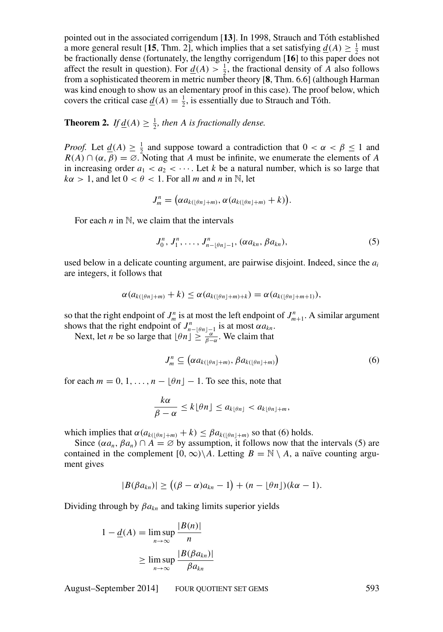pointed out in the associated corrigendum [**[13](#page-8-11)**]. In 1998, Strauch and Toth established ´ a more general result [[15](#page-8-7), Thm. 2], which implies that a set satisfying  $\underline{d}(A) \geq \frac{1}{2}$  must be fractionally dense (fortunately, the lengthy corrigendum [**[16](#page-8-12)**] to this paper does not affect the result in question). For  $\underline{d}(A) > \frac{1}{2}$ , the fractional density of *A* also follows from a sophisticated theorem in metric number theory [**[8](#page-8-9)**, Thm. 6.6] (although Harman was kind enough to show us an elementary proof in this case). The proof below, which covers the critical case  $\underline{d}(A) = \frac{1}{2}$ , is essentially due to Strauch and Tóth.

<span id="page-3-3"></span>**Theorem 2.** *If* <u> $\underline{d}(A) \geq \frac{1}{2}$ </u>*, then A is fractionally dense.* 

*Proof.* Let  $\underline{d}(A) \geq \frac{1}{2}$  and suppose toward a contradiction that  $0 < \alpha < \beta \leq 1$  and  $R(A) \cap (\alpha, \beta) = \emptyset$ . Noting that *A* must be infinite, we enumerate the elements of *A* in increasing order  $a_1 < a_2 < \cdots$ . Let *k* be a natural number, which is so large that  $k\alpha > 1$ , and let  $0 < \theta < 1$ . For all *m* and *n* in N, let

$$
J_m^n = \big(\alpha a_{k(\lfloor \theta n \rfloor + m)}, \alpha (a_{k(\lfloor \theta n \rfloor + m)} + k)\big).
$$

For each  $n$  in  $\mathbb{N}$ , we claim that the intervals

<span id="page-3-1"></span>
$$
J_0^n, J_1^n, \ldots, J_{n-\lfloor \theta n \rfloor-1}^n, (\alpha a_{kn}, \beta a_{kn}), \qquad (5)
$$

used below in a delicate counting argument, are pairwise disjoint. Indeed, since the *a<sup>i</sup>* are integers, it follows that

$$
\alpha(a_{k(\lfloor \theta n \rfloor + m)} + k) \leq \alpha(a_{k(\lfloor \theta n \rfloor + m) + k}) = \alpha(a_{k(\lfloor \theta n \rfloor + m + 1)}),
$$

so that the right endpoint of  $J_m^n$  is at most the left endpoint of  $J_{m+1}^n$ . A similar argument shows that the right endpoint of  $J_{n-\lfloor \theta n \rfloor-1}^n$  is at most  $\alpha a_{kn}$ .

Next, let *n* be so large that  $\lfloor \theta n \rfloor \ge \frac{\lfloor n \rfloor}{\beta - \alpha}$ . We claim that

<span id="page-3-0"></span>
$$
J_m^n \subseteq \left(\alpha a_{k(\lfloor \theta n \rfloor + m)}, \beta a_{k(\lfloor \theta n \rfloor + m)}\right) \tag{6}
$$

for each  $m = 0, 1, \ldots, n - \lfloor \theta n \rfloor - 1$ . To see this, note that

$$
\frac{k\alpha}{\beta-\alpha}\leq k\lfloor \theta n\rfloor\leq a_{k\lfloor \theta n\rfloor}
$$

which implies that  $\alpha(a_{k(\theta n|+m)} + k) \leq \beta a_{k(\theta n|+m)}$  so that [\(6\)](#page-3-0) holds.

Since  $(\alpha a_n, \beta a_n) \cap A = \emptyset$  by assumption, it follows now that the intervals [\(5\)](#page-3-1) are contained in the complement  $[0, \infty) \setminus A$ . Letting  $B = \mathbb{N} \setminus A$ , a naïve counting argument gives

<span id="page-3-2"></span>
$$
|B(\beta a_{kn})| \ge ((\beta - \alpha)a_{kn} - 1) + (n - \lfloor \theta n \rfloor)(k\alpha - 1).
$$

Dividing through by β*akn* and taking limits superior yields

$$
1 - \underline{d}(A) = \limsup_{n \to \infty} \frac{|B(n)|}{n}
$$

$$
\geq \limsup_{n \to \infty} \frac{|B(\beta a_{kn})|}{\beta a_{kn}}
$$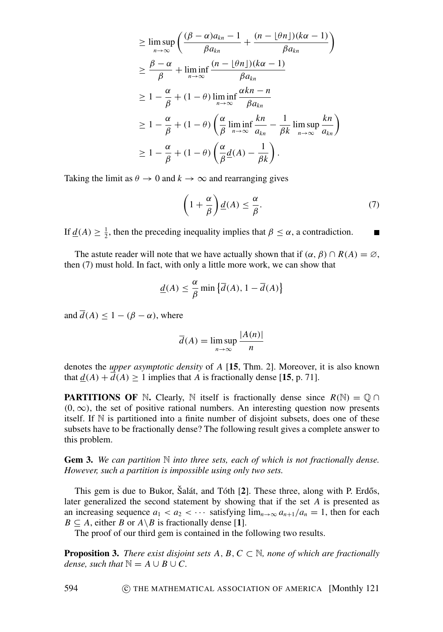$$
\geq \limsup_{n \to \infty} \left( \frac{(\beta - \alpha)a_{kn} - 1}{\beta a_{kn}} + \frac{(n - \lfloor \theta n \rfloor)(k\alpha - 1)}{\beta a_{kn}} \right)
$$
  
\n
$$
\geq \frac{\beta - \alpha}{\beta} + \liminf_{n \to \infty} \frac{(n - \lfloor \theta n \rfloor)(k\alpha - 1)}{\beta a_{kn}}
$$
  
\n
$$
\geq 1 - \frac{\alpha}{\beta} + (1 - \theta) \liminf_{n \to \infty} \frac{\alpha k n - n}{\beta a_{kn}}
$$
  
\n
$$
\geq 1 - \frac{\alpha}{\beta} + (1 - \theta) \left( \frac{\alpha}{\beta} \liminf_{n \to \infty} \frac{k n}{a_{kn}} - \frac{1}{\beta k} \limsup_{n \to \infty} \frac{k n}{a_{kn}} \right)
$$
  
\n
$$
\geq 1 - \frac{\alpha}{\beta} + (1 - \theta) \left( \frac{\alpha}{\beta} \underline{d}(A) - \frac{1}{\beta k} \right).
$$

Taking the limit as  $\theta \to 0$  and  $k \to \infty$  and rearranging gives

$$
\left(1 + \frac{\alpha}{\beta}\right) \underline{d}(A) \le \frac{\alpha}{\beta}.\tag{7}
$$

П

If  $\underline{d}(A) \ge \frac{1}{2}$ , then the preceding inequality implies that  $\beta \le \alpha$ , a contradiction.

The astute reader will note that we have actually shown that if  $(\alpha, \beta) \cap R(A) = \emptyset$ , then [\(7\)](#page-3-2) must hold. In fact, with only a little more work, we can show that

$$
\underline{d}(A) \leq \frac{\alpha}{\beta} \min \left\{ \overline{d}(A), 1 - \overline{d}(A) \right\}
$$

and  $\overline{d}(A) \leq 1 - (\beta - \alpha)$ , where

$$
\overline{d}(A) = \limsup_{n \to \infty} \frac{|A(n)|}{n}
$$

denotes the *upper asymptotic density* of *A* [**[15](#page-8-7)**, Thm. 2]. Moreover, it is also known that  $d(A) + \overline{d}(A) \ge 1$  implies that *A* is fractionally dense [[15](#page-8-7), p. 71].

**PARTITIONS OF** N. Clearly, N itself is fractionally dense since  $R(N) = \mathbb{O} \cap$  $(0, \infty)$ , the set of positive rational numbers. An interesting question now presents itself. If  $\mathbb N$  is partitioned into a finite number of disjoint subsets, does one of these subsets have to be fractionally dense? The following result gives a complete answer to this problem.

**Gem 3.** *We can partition* N *into three sets, each of which is not fractionally dense. However, such a partition is impossible using only two sets.*

This gem is due to Bukor, Salát, and Tóth [[2](#page-8-8)]. These three, along with P. Erdős, later generalized the second statement by showing that if the set *A* is presented as an increasing sequence  $a_1 < a_2 < \cdots$  satisfying  $\lim_{n \to \infty} a_{n+1}/a_n = 1$ , then for each  $B \subseteq A$ , either *B* or  $A \setminus B$  is fractionally dense [[1](#page-8-13)].

The proof of our third gem is contained in the following two results.

**Proposition 3.** *There exist disjoint sets A, B, C*  $\subset$  N*, none of which are fractionally dense, such that*  $\mathbb{N} = A \cup B \cup C$ .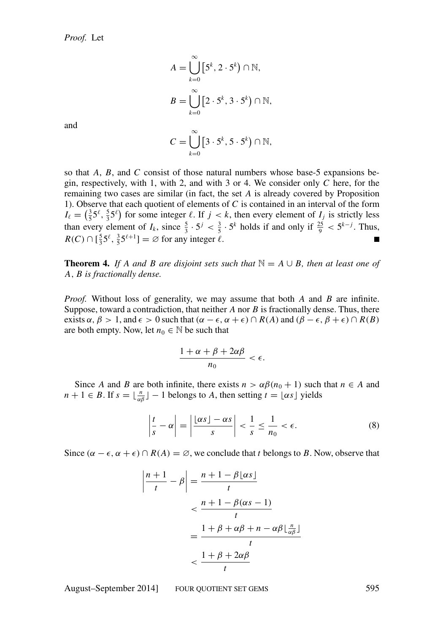$$
A = \bigcup_{k=0}^{\infty} \left[ 5^k, 2 \cdot 5^k \right) \cap \mathbb{N},
$$
  

$$
B = \bigcup_{k=0}^{\infty} \left[ 2 \cdot 5^k, 3 \cdot 5^k \right) \cap \mathbb{N},
$$
  

$$
C = \bigcup_{k=0}^{\infty} \left[ 3 \cdot 5^k, 5 \cdot 5^k \right) \cap \mathbb{N},
$$

and

so that *A*, *B*, and *C* consist of those natural numbers whose base-5 expansions begin, respectively, with 1, with 2, and with 3 or 4. We consider only *C* here, for the remaining two cases are similar (in fact, the set *A* is already covered by Proposition [1\)](#page-1-3). Observe that each quotient of elements of *C* is contained in an interval of the form  $I_\ell = \left(\frac{3}{5}5^\ell, \frac{5}{3}5^\ell\right)$  for some integer  $\ell$ . If  $j < k$ , then every element of  $I_j$  is strictly less than every element of  $I_k$ , since  $\frac{5}{3} \cdot 5^j < \frac{3}{5} \cdot 5^k$  holds if and only if  $\frac{25}{9} < 5^{k-j}$ . Thus,  $R(C) \cap \left[\frac{5}{3}5^{\ell}, \frac{3}{5}5^{\ell+1}\right] = \emptyset$  for any integer  $\ell$ .  $\blacksquare$ 

<span id="page-5-1"></span>**Theorem 4.** *If A and B are disjoint sets such that*  $\mathbb{N} = A \cup B$ *, then at least one of A*, *B is fractionally dense.*

*Proof.* Without loss of generality, we may assume that both *A* and *B* are infinite. Suppose, toward a contradiction, that neither *A* nor *B* is fractionally dense. Thus, there exists  $\alpha$ ,  $\beta > 1$ , and  $\epsilon > 0$  such that  $(\alpha - \epsilon, \alpha + \epsilon) \cap R(A)$  and  $(\beta - \epsilon, \beta + \epsilon) \cap R(B)$ are both empty. Now, let  $n_0 \in \mathbb{N}$  be such that

$$
\frac{1+\alpha+\beta+2\alpha\beta}{n_0}<\epsilon.
$$

Since *A* and *B* are both infinite, there exists  $n > \alpha \beta (n_0 + 1)$  such that  $n \in A$  and  $n + 1 \in B$ . If  $s = \lfloor \frac{n}{\alpha \beta} \rfloor - 1$  belongs to *A*, then setting  $t = \lfloor \alpha s \rfloor$  yields

<span id="page-5-0"></span>
$$
\left|\frac{t}{s} - \alpha\right| = \left|\frac{\lfloor \alpha s \rfloor - \alpha s}{s}\right| < \frac{1}{s} \le \frac{1}{n_0} < \epsilon. \tag{8}
$$

Since  $(\alpha - \epsilon, \alpha + \epsilon) \cap R(A) = \emptyset$ , we conclude that *t* belongs to *B*. Now, observe that

$$
\left|\frac{n+1}{t} - \beta\right| = \frac{n+1-\beta\lfloor \alpha s \rfloor}{t}
$$

$$
< \frac{n+1-\beta(\alpha s-1)}{t}
$$

$$
= \frac{1+\beta+\alpha\beta+n-\alpha\beta\lfloor \frac{n}{\alpha\beta} \rfloor}{t}
$$

$$
< \frac{1+\beta+2\alpha\beta}{t}
$$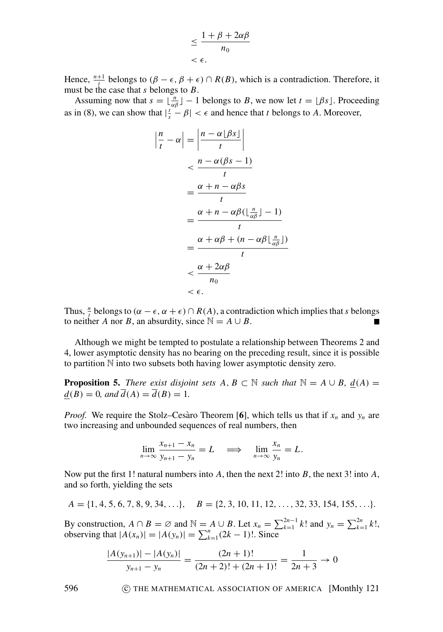$$
\leq \frac{1+\beta+2\alpha\beta}{n_0} < \epsilon.
$$

Hence,  $\frac{n+1}{t}$  belongs to  $(\beta - \epsilon, \beta + \epsilon) \cap R(B)$ , which is a contradiction. Therefore, it must be the case that *s* belongs to *B*.

Assuming now that  $s = \lfloor \frac{n}{\alpha \beta} \rfloor - 1$  belongs to *B*, we now let  $t = \lfloor \beta s \rfloor$ . Proceeding as in [\(8\)](#page-5-0), we can show that  $|\frac{t}{s} - \beta| < \epsilon$  and hence that *t* belongs to *A*. Moreover,

$$
\left|\frac{n}{t} - \alpha\right| = \left|\frac{n - \alpha \lfloor \beta s \rfloor}{t}\right|
$$
  

$$
< \frac{n - \alpha(\beta s - 1)}{t}
$$
  

$$
= \frac{\alpha + n - \alpha \beta s}{t}
$$
  

$$
= \frac{\alpha + n - \alpha \beta (\lfloor \frac{n}{\alpha \beta} \rfloor - 1)}{t}
$$
  

$$
= \frac{\alpha + \alpha \beta + (n - \alpha \beta \lfloor \frac{n}{\alpha \beta} \rfloor)}{t}
$$
  

$$
< \frac{\alpha + 2\alpha \beta}{n_0}
$$
  

$$
< \epsilon.
$$

Thus,  $\frac{n}{t}$  belongs to  $(\alpha - \epsilon, \alpha + \epsilon) \cap R(A)$ , a contradiction which implies that *s* belongs to neither *A* nor *B*, an absurdity, since  $\mathbb{N} = A \cup B$ .

Although we might be tempted to postulate a relationship between Theorems [2](#page-3-3) and [4,](#page-5-1) lower asymptotic density has no bearing on the preceding result, since it is possible to partition N into two subsets both having lower asymptotic density zero.

**Proposition 5.** *There exist disjoint sets A, B*  $\subset$  N *such that*  $\mathbb{N} = A \cup B$ *, d(A)* =  $d(B) = 0$ *, and*  $\overline{d}(A) = \overline{d}(B) = 1$ *.* 

*Proof.* We require the Stolz–Cesàro Theorem [[6](#page-8-14)], which tells us that if  $x_n$  and  $y_n$  are two increasing and unbounded sequences of real numbers, then

$$
\lim_{n \to \infty} \frac{x_{n+1} - x_n}{y_{n+1} - y_n} = L \quad \Longrightarrow \quad \lim_{n \to \infty} \frac{x_n}{y_n} = L.
$$

Now put the first 1! natural numbers into *A*, then the next 2! into *B*, the next 3! into *A*, and so forth, yielding the sets

$$
A = \{1, 4, 5, 6, 7, 8, 9, 34, \ldots\}, \quad B = \{2, 3, 10, 11, 12, \ldots, 32, 33, 154, 155, \ldots\}.
$$

By construction,  $A \cap B = \emptyset$  and  $\mathbb{N} = A \cup B$ . Let  $x_n = \sum_{k=1}^{2n-1} k!$  and  $y_n = \sum_{k=1}^{2n} k!$ , observing that  $|A(x_n)| = |A(y_n)| = \sum_{k=1}^n (2k-1)!$ . Since

$$
\frac{|A(y_{n+1})| - |A(y_n)|}{y_{n+1} - y_n} = \frac{(2n+1)!}{(2n+2)! + (2n+1)!} = \frac{1}{2n+3} \to 0
$$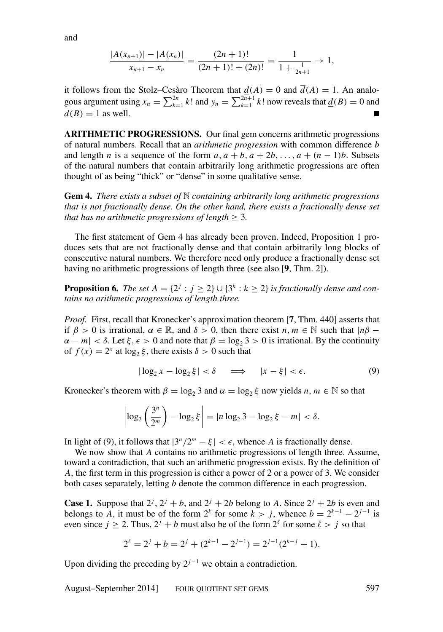and

$$
\frac{|A(x_{n+1})| - |A(x_n)|}{x_{n+1} - x_n} = \frac{(2n+1)!}{(2n+1)! + (2n)!} = \frac{1}{1 + \frac{1}{2n+1}} \to 1,
$$

it follows from the Stolz–Cesaro Theorem that  $\underline{d}(A) = 0$  and  $\overline{d}(A) = 1$ . An analogous argument using  $x_n = \sum_{k=1}^{2n} k!$  and  $y_n = \sum_{k=1}^{2n+1} k!$  now reveals that  $\underline{d}(B) = 0$  and  $\overline{d}(B) = 1$  as well.

**ARITHMETIC PROGRESSIONS.** Our final gem concerns arithmetic progressions of natural numbers. Recall that an *arithmetic progression* with common difference *b* and length *n* is a sequence of the form  $a, a + b, a + 2b, \ldots, a + (n - 1)b$ . Subsets of the natural numbers that contain arbitrarily long arithmetic progressions are often thought of as being "thick" or "dense" in some qualitative sense.

<span id="page-7-0"></span>**Gem 4.** *There exists a subset of* N *containing arbitrarily long arithmetic progressions that is not fractionally dense. On the other hand, there exists a fractionally dense set that has no arithmetic progressions of length*  $\geq$  3.

The first statement of Gem [4](#page-7-0) has already been proven. Indeed, Proposition [1](#page-1-3) produces sets that are not fractionally dense and that contain arbitrarily long blocks of consecutive natural numbers. We therefore need only produce a fractionally dense set having no arithmetic progressions of length three (see also [**[9](#page-8-3)**, Thm. 2]).

**Proposition 6.** *The set*  $A = \{2^j : j \ge 2\} \cup \{3^k : k \ge 2\}$  *is fractionally dense and contains no arithmetic progressions of length three.*

*Proof.* First, recall that Kronecker's approximation theorem [**[7](#page-8-15)**, Thm. 440] asserts that if  $\beta > 0$  is irrational,  $\alpha \in \mathbb{R}$ , and  $\delta > 0$ , then there exist *n*,  $m \in \mathbb{N}$  such that  $|n\beta \alpha - m < \delta$ . Let  $\xi, \epsilon > 0$  and note that  $\beta = \log_2 3 > 0$  is irrational. By the continuity of  $f(x) = 2^x$  at  $\log_2 \xi$ , there exists  $\delta > 0$  such that

<span id="page-7-1"></span>
$$
|\log_2 x - \log_2 \xi| < \delta \quad \implies \quad |x - \xi| < \epsilon. \tag{9}
$$

Kronecker's theorem with  $\beta = \log_2 3$  and  $\alpha = \log_2 \xi$  now yields  $n, m \in \mathbb{N}$  so that

$$
\left|\log_2\left(\frac{3^n}{2^m}\right)-\log_2\xi\right| = |n\log_23 - \log_2\xi - m| < \delta.
$$

In light of [\(9\)](#page-7-1), it follows that  $|3^n/2^m - \xi| < \epsilon$ , whence *A* is fractionally dense.

We now show that *A* contains no arithmetic progressions of length three. Assume, toward a contradiction, that such an arithmetic progression exists. By the definition of *A*, the first term in this progression is either a power of 2 or a power of 3. We consider both cases separately, letting *b* denote the common difference in each progression.

**Case 1.** Suppose that  $2^j$ ,  $2^j + b$ , and  $2^j + 2b$  belong to *A*. Since  $2^j + 2b$  is even and belongs to A, it must be of the form  $2^k$  for some  $k > j$ , whence  $b = 2^{k-1} - 2^{j-1}$  is even since  $j \ge 2$ . Thus,  $2^{j} + b$  must also be of the form  $2^{\ell}$  for some  $\ell > j$  so that

$$
2^{\ell} = 2^{j} + b = 2^{j} + (2^{k-1} - 2^{j-1}) = 2^{j-1}(2^{k-j} + 1).
$$

Upon dividing the preceding by  $2^{j-1}$  we obtain a contradiction.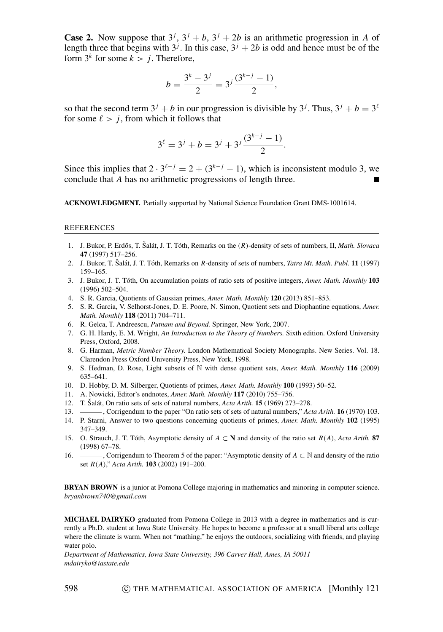**Case 2.** Now suppose that  $3^j$ ,  $3^j + b$ ,  $3^j + 2b$  is an arithmetic progression in *A* of length three that begins with  $3^j$ . In this case,  $3^j + 2b$  is odd and hence must be of the form  $3^k$  for some  $k > j$ . Therefore,

$$
b = \frac{3^k - 3^j}{2} = 3^j \frac{(3^{k-j} - 1)}{2},
$$

so that the second term  $3^{j} + b$  in our progression is divisible by  $3^{j}$ . Thus,  $3^{j} + b = 3^{l}$ for some  $\ell > j$ , from which it follows that

$$
3^{\ell} = 3^j + b = 3^j + 3^j \frac{(3^{k-j} - 1)}{2}.
$$

Since this implies that  $2 \cdot 3^{l-j} = 2 + (3^{k-j} - 1)$ , which is inconsistent modulo 3, we conclude that *A* has no arithmetic progressions of length three.

**ACKNOWLEDGMENT.** Partially supported by National Science Foundation Grant DMS-1001614.

## REFERENCES

- <span id="page-8-13"></span>1. J. Bukor, P. Erdős, T. Šalát, J. T. Tóth, Remarks on the  $(R)$ -density of sets of numbers, II, *Math. Slovaca* **47** (1997) 517–256.
- <span id="page-8-8"></span>2. J. Bukor, T. Šalát, J. T. Tóth, Remarks on R-density of sets of numbers, *Tatra Mt. Math. Publ.* **11** (1997) 159–165.
- <span id="page-8-0"></span>3. J. Bukor, J. T. Toth, On accumulation points of ratio sets of positive integers, ´ *Amer. Math. Monthly* **103** (1996) 502–504.
- <span id="page-8-1"></span>4. S. R. Garcia, Quotients of Gaussian primes, *Amer. Math. Monthly* **120** (2013) 851–853.
- <span id="page-8-2"></span>5. S. R. Garcia, V. Selhorst-Jones, D. E. Poore, N. Simon, Quotient sets and Diophantine equations, *Amer. Math. Monthly* **118** (2011) 704–711.
- <span id="page-8-14"></span>6. R. Gelca, T. Andreescu, *Putnam and Beyond.* Springer, New York, 2007.
- <span id="page-8-15"></span>7. G. H. Hardy, E. M. Wright, *An Introduction to the Theory of Numbers.* Sixth edition. Oxford University Press, Oxford, 2008.
- <span id="page-8-9"></span>8. G. Harman, *Metric Number Theory.* London Mathematical Society Monographs. New Series. Vol. 18. Clarendon Press Oxford University Press, New York, 1998.
- <span id="page-8-3"></span>9. S. Hedman, D. Rose, Light subsets of N with dense quotient sets, *Amer. Math. Monthly* **116** (2009) 635–641.
- <span id="page-8-4"></span>10. D. Hobby, D. M. Silberger, Quotients of primes, *Amer. Math. Monthly* **100** (1993) 50–52.
- <span id="page-8-5"></span>11. A. Nowicki, Editor's endnotes, *Amer. Math. Monthly* **117** (2010) 755–756.
- <span id="page-8-10"></span>12. T. Sal ˇ at, On ratio sets of sets of natural numbers, ´ *Acta Arith.* **15** (1969) 273–278.
- <span id="page-8-11"></span>13. , Corrigendum to the paper "On ratio sets of sets of natural numbers," *Acta Arith.* **16** (1970) 103.
- <span id="page-8-6"></span>14. P. Starni, Answer to two questions concerning quotients of primes, *Amer. Math. Monthly* **102** (1995) 347–349.
- <span id="page-8-7"></span>15. O. Strauch, J. T. Tóth, Asymptotic density of  $A \subset \mathbb{N}$  and density of the ratio set  $R(A)$ , *Acta Arith.* **87** (1998) 67–78.
- <span id="page-8-12"></span>16. , Corrigendum to Theorem 5 of the paper: "Asymptotic density of *A* ⊂ N and density of the ratio set *R*(*A*)," *Acta Arith.* **103** (2002) 191–200.

**BRYAN BROWN** is a junior at Pomona College majoring in mathematics and minoring in computer science. *bryanbrown740@gmail.com*

**MICHAEL DAIRYKO** graduated from Pomona College in 2013 with a degree in mathematics and is currently a Ph.D. student at Iowa State University. He hopes to become a professor at a small liberal arts college where the climate is warm. When not "mathing," he enjoys the outdoors, socializing with friends, and playing water polo.

*Department of Mathematics, Iowa State University, 396 Carver Hall, Ames, IA 50011 mdairyko@iastate.edu*